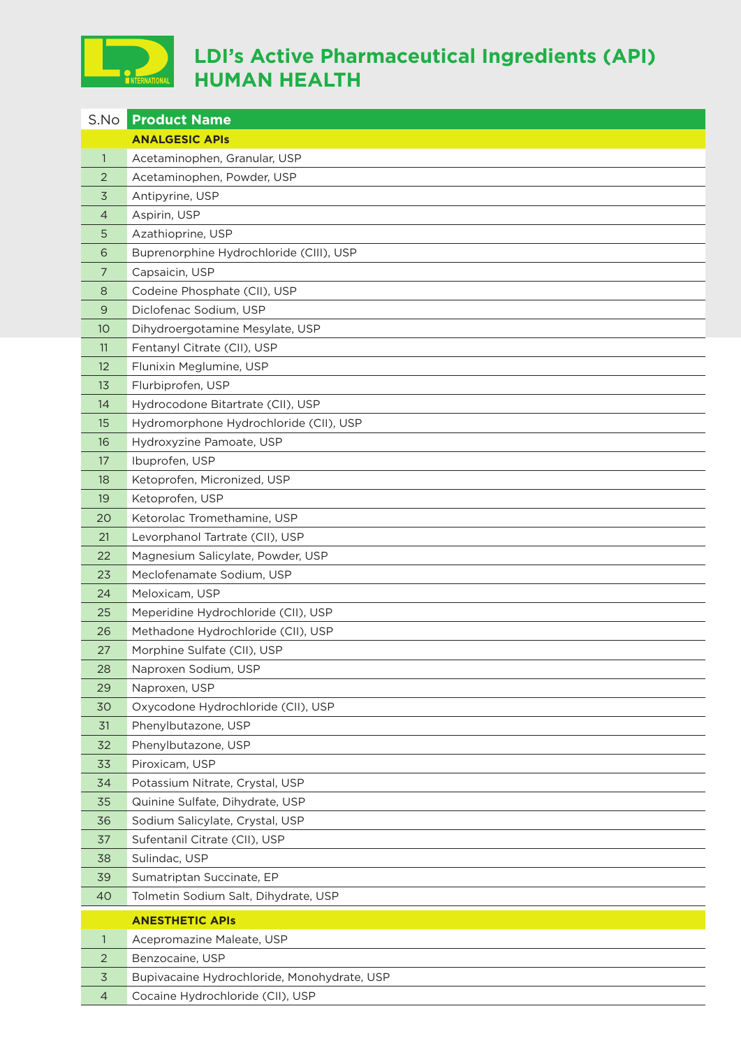

## **LDI's Active Pharmaceutical Ingredients (API) HUMAN HEALTH**

| S.No | <b>Product Name</b>                         |
|------|---------------------------------------------|
|      | <b>ANALGESIC APIS</b>                       |
| 1    | Acetaminophen, Granular, USP                |
| 2    | Acetaminophen, Powder, USP                  |
| 3    | Antipyrine, USP                             |
| 4    | Aspirin, USP                                |
| 5    | Azathioprine, USP                           |
| 6    | Buprenorphine Hydrochloride (CIII), USP     |
| 7    | Capsaicin, USP                              |
| 8    | Codeine Phosphate (CII), USP                |
| 9    | Diclofenac Sodium, USP                      |
| 10   | Dihydroergotamine Mesylate, USP             |
| 11   | Fentanyl Citrate (CII), USP                 |
| 12   | Flunixin Meglumine, USP                     |
| 13   | Flurbiprofen, USP                           |
| 14   | Hydrocodone Bitartrate (CII), USP           |
| 15   | Hydromorphone Hydrochloride (CII), USP      |
| 16   | Hydroxyzine Pamoate, USP                    |
| 17   | Ibuprofen, USP                              |
| 18   | Ketoprofen, Micronized, USP                 |
| 19   | Ketoprofen, USP                             |
| 20   | Ketorolac Tromethamine, USP                 |
| 21   | Levorphanol Tartrate (CII), USP             |
| 22   | Magnesium Salicylate, Powder, USP           |
| 23   | Meclofenamate Sodium, USP                   |
| 24   | Meloxicam, USP                              |
| 25   | Meperidine Hydrochloride (CII), USP         |
| 26   | Methadone Hydrochloride (CII), USP          |
| 27   | Morphine Sulfate (CII), USP                 |
| 28   | Naproxen Sodium, USP                        |
| 29   | Naproxen, USP                               |
| 30   | Oxycodone Hydrochloride (CII), USP          |
| 31   | Phenylbutazone, USP                         |
| 32   | Phenylbutazone, USP                         |
| 33   | Piroxicam, USP                              |
| 34   | Potassium Nitrate, Crystal, USP             |
| 35   | Quinine Sulfate, Dihydrate, USP             |
| 36   | Sodium Salicylate, Crystal, USP             |
| 37   | Sufentanil Citrate (CII), USP               |
| 38   | Sulindac, USP                               |
| 39   | Sumatriptan Succinate, EP                   |
| 40   | Tolmetin Sodium Salt, Dihydrate, USP        |
|      | <b>ANESTHETIC APIS</b>                      |
| 1    | Acepromazine Maleate, USP                   |
| 2    | Benzocaine, USP                             |
| 3    | Bupivacaine Hydrochloride, Monohydrate, USP |
| 4    | Cocaine Hydrochloride (CII), USP            |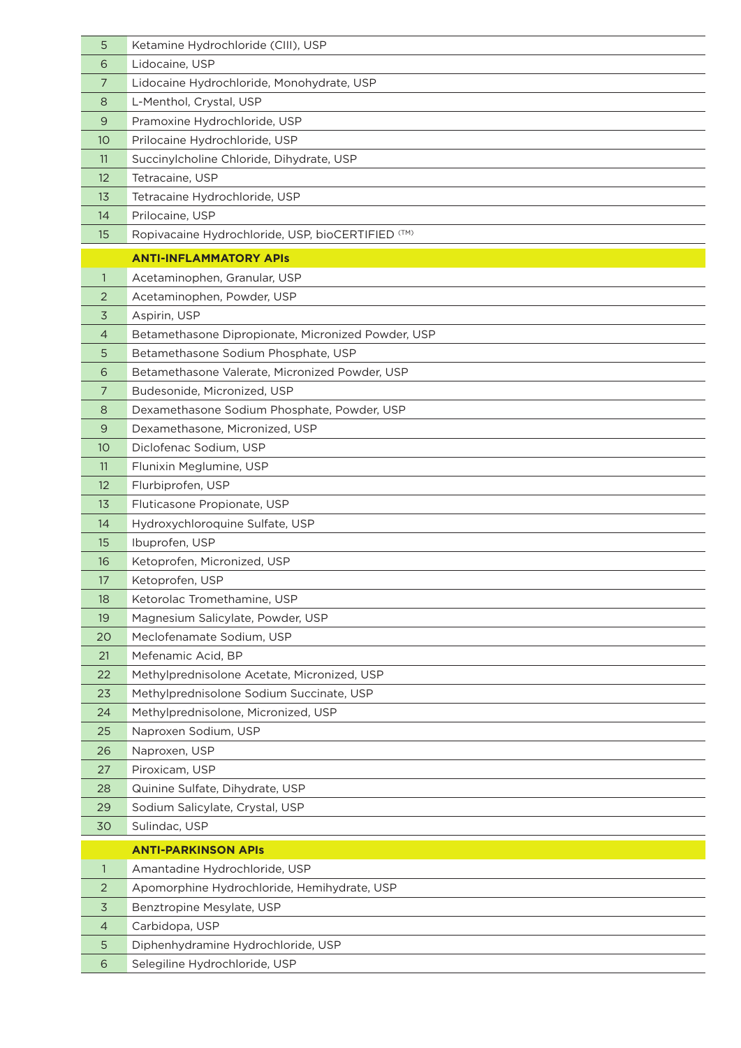| 5            | Ketamine Hydrochloride (CIII), USP                 |
|--------------|----------------------------------------------------|
| 6            | Lidocaine, USP                                     |
| 7            | Lidocaine Hydrochloride, Monohydrate, USP          |
| 8            | L-Menthol, Crystal, USP                            |
| 9            | Pramoxine Hydrochloride, USP                       |
| 10           | Prilocaine Hydrochloride, USP                      |
| 11           | Succinylcholine Chloride, Dihydrate, USP           |
| 12           | Tetracaine, USP                                    |
| 13           | Tetracaine Hydrochloride, USP                      |
| 14           | Prilocaine, USP                                    |
| 15           | Ropivacaine Hydrochloride, USP, bioCERTIFIED (TM)  |
|              | <b>ANTI-INFLAMMATORY APIS</b>                      |
| 1            | Acetaminophen, Granular, USP                       |
| 2            | Acetaminophen, Powder, USP                         |
| 3            | Aspirin, USP                                       |
| 4            | Betamethasone Dipropionate, Micronized Powder, USP |
| 5            | Betamethasone Sodium Phosphate, USP                |
| 6            | Betamethasone Valerate, Micronized Powder, USP     |
| 7            | Budesonide, Micronized, USP                        |
| 8            | Dexamethasone Sodium Phosphate, Powder, USP        |
| 9            | Dexamethasone, Micronized, USP                     |
| 10           | Diclofenac Sodium, USP                             |
| 11           | Flunixin Meglumine, USP                            |
| 12           | Flurbiprofen, USP                                  |
| 13           | Fluticasone Propionate, USP                        |
| 14           | Hydroxychloroquine Sulfate, USP                    |
| 15           | Ibuprofen, USP                                     |
| 16           | Ketoprofen, Micronized, USP                        |
| 17           | Ketoprofen, USP                                    |
| 18           | Ketorolac Tromethamine, USP                        |
| 19           | Magnesium Salicylate, Powder, USP                  |
| 20           | Meclofenamate Sodium, USP                          |
| 21           | Mefenamic Acid, BP                                 |
| 22           | Methylprednisolone Acetate, Micronized, USP        |
| 23           | Methylprednisolone Sodium Succinate, USP           |
| 24           | Methylprednisolone, Micronized, USP                |
| 25           | Naproxen Sodium, USP                               |
| 26           | Naproxen, USP                                      |
| 27           | Piroxicam, USP                                     |
| 28           | Quinine Sulfate, Dihydrate, USP                    |
| 29           | Sodium Salicylate, Crystal, USP                    |
| 30           | Sulindac, USP                                      |
|              | <b>ANTI-PARKINSON APIS</b>                         |
| $\mathbf{1}$ | Amantadine Hydrochloride, USP                      |
| 2            | Apomorphine Hydrochloride, Hemihydrate, USP        |
| 3            | Benztropine Mesylate, USP                          |
| 4            | Carbidopa, USP                                     |
| 5            | Diphenhydramine Hydrochloride, USP                 |
| 6            | Selegiline Hydrochloride, USP                      |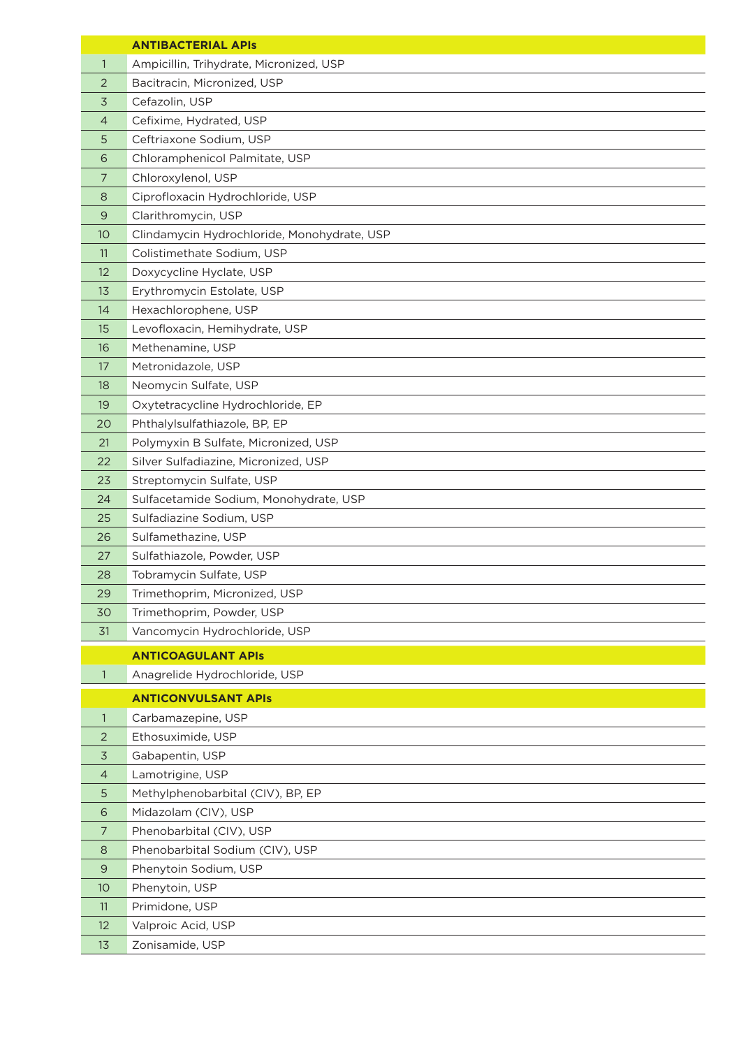|                | <b>ANTIBACTERIAL APIS</b>                   |
|----------------|---------------------------------------------|
| $\mathbf{1}$   | Ampicillin, Trihydrate, Micronized, USP     |
| 2              | Bacitracin, Micronized, USP                 |
| 3              | Cefazolin, USP                              |
| $\overline{4}$ | Cefixime, Hydrated, USP                     |
| 5              | Ceftriaxone Sodium, USP                     |
| 6              | Chloramphenicol Palmitate, USP              |
| 7              | Chloroxylenol, USP                          |
| 8              | Ciprofloxacin Hydrochloride, USP            |
| 9              | Clarithromycin, USP                         |
| 10             | Clindamycin Hydrochloride, Monohydrate, USP |
| 11             | Colistimethate Sodium, USP                  |
| 12             | Doxycycline Hyclate, USP                    |
| 13             | Erythromycin Estolate, USP                  |
| 14             | Hexachlorophene, USP                        |
| 15             | Levofloxacin, Hemihydrate, USP              |
| 16             | Methenamine, USP                            |
| 17             | Metronidazole, USP                          |
| 18             | Neomycin Sulfate, USP                       |
| 19             | Oxytetracycline Hydrochloride, EP           |
| 20             | Phthalylsulfathiazole, BP, EP               |
| 21             | Polymyxin B Sulfate, Micronized, USP        |
| 22             | Silver Sulfadiazine, Micronized, USP        |
| 23             | Streptomycin Sulfate, USP                   |
| 24             | Sulfacetamide Sodium, Monohydrate, USP      |
| 25             | Sulfadiazine Sodium, USP                    |
| 26             | Sulfamethazine, USP                         |
| 27             | Sulfathiazole, Powder, USP                  |
| 28             | Tobramycin Sulfate, USP                     |
| 29             | Trimethoprim, Micronized, USP               |
| 30             | Trimethoprim, Powder, USP                   |
| 31             | Vancomycin Hydrochloride, USP               |
|                | <b>ANTICOAGULANT APIS</b>                   |
| $\overline{1}$ | Anagrelide Hydrochloride, USP               |
|                | <b>ANTICONVULSANT APIS</b>                  |
| $\mathbf{1}$   | Carbamazepine, USP                          |
| 2              | Ethosuximide, USP                           |
| 3              | Gabapentin, USP                             |
| $\overline{4}$ | Lamotrigine, USP                            |
| 5              | Methylphenobarbital (CIV), BP, EP           |
| 6              | Midazolam (CIV), USP                        |
| 7              | Phenobarbital (CIV), USP                    |
| 8              | Phenobarbital Sodium (CIV), USP             |
| 9              | Phenytoin Sodium, USP                       |
| 10             | Phenytoin, USP                              |
| 11             | Primidone, USP                              |
| 12             | Valproic Acid, USP                          |
| 13             | Zonisamide, USP                             |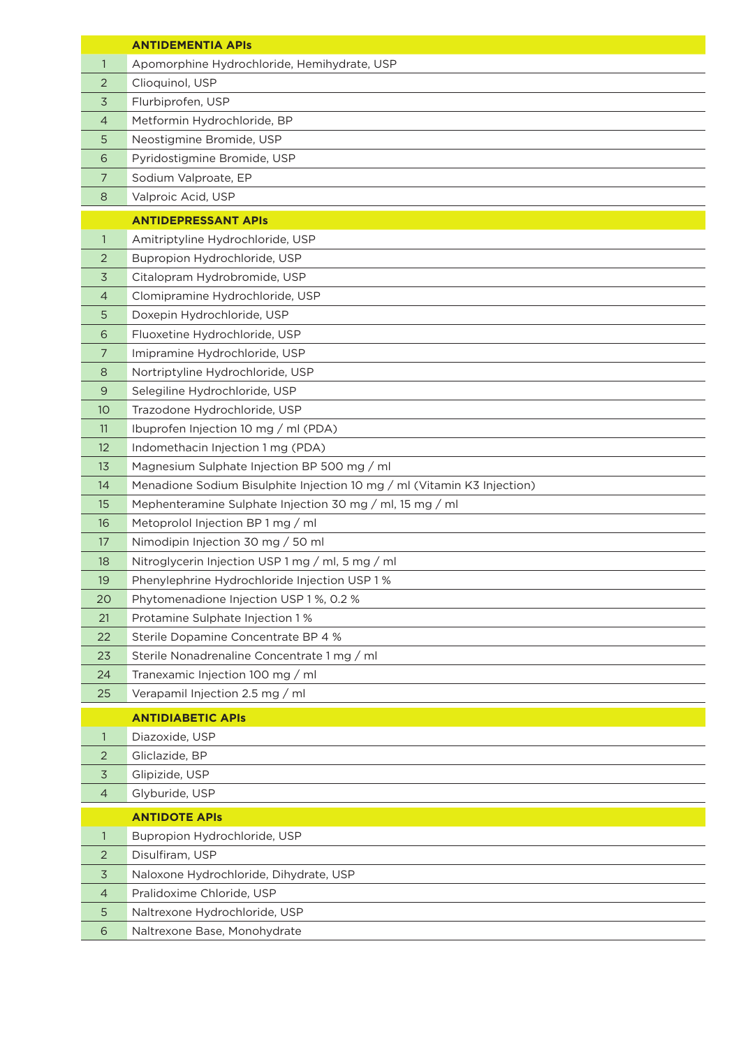|                | <b>ANTIDEMENTIA APIS</b>                                                |
|----------------|-------------------------------------------------------------------------|
| 1              | Apomorphine Hydrochloride, Hemihydrate, USP                             |
| 2              | Clioquinol, USP                                                         |
| 3              | Flurbiprofen, USP                                                       |
| $\overline{4}$ | Metformin Hydrochloride, BP                                             |
| 5              | Neostigmine Bromide, USP                                                |
| 6              | Pyridostigmine Bromide, USP                                             |
| 7              | Sodium Valproate, EP                                                    |
| 8              | Valproic Acid, USP                                                      |
|                | <b>ANTIDEPRESSANT APIS</b>                                              |
| 1              | Amitriptyline Hydrochloride, USP                                        |
| 2              | Bupropion Hydrochloride, USP                                            |
| 3              | Citalopram Hydrobromide, USP                                            |
| $\overline{4}$ | Clomipramine Hydrochloride, USP                                         |
| 5              | Doxepin Hydrochloride, USP                                              |
| 6              | Fluoxetine Hydrochloride, USP                                           |
| 7              | Imipramine Hydrochloride, USP                                           |
| 8              | Nortriptyline Hydrochloride, USP                                        |
| 9              | Selegiline Hydrochloride, USP                                           |
| 10             | Trazodone Hydrochloride, USP                                            |
| 11             | Ibuprofen Injection 10 mg / ml (PDA)                                    |
| 12             | Indomethacin Injection 1 mg (PDA)                                       |
| 13             | Magnesium Sulphate Injection BP 500 mg / ml                             |
| 14             | Menadione Sodium Bisulphite Injection 10 mg / ml (Vitamin K3 Injection) |
| 15             | Mephenteramine Sulphate Injection 30 mg / ml, 15 mg / ml                |
| 16             | Metoprolol Injection BP 1 mg / ml                                       |
| 17             | Nimodipin Injection 30 mg / 50 ml                                       |
| 18             | Nitroglycerin Injection USP 1 mg / ml, 5 mg / ml                        |
| 19             | Phenylephrine Hydrochloride Injection USP 1 %                           |
| 20             | Phytomenadione Injection USP 1%, 0.2 %                                  |
| 21             | Protamine Sulphate Injection 1%                                         |
| 22             | Sterile Dopamine Concentrate BP 4 %                                     |
| 23             | Sterile Nonadrenaline Concentrate 1 mg / ml                             |
| 24             | Tranexamic Injection 100 mg / ml                                        |
| 25             | Verapamil Injection 2.5 mg / ml                                         |
|                | <b>ANTIDIABETIC APIS</b>                                                |
| 1              | Diazoxide, USP                                                          |
| 2              | Gliclazide, BP                                                          |
| 3              | Glipizide, USP                                                          |
| $\overline{4}$ | Glyburide, USP                                                          |
|                | <b>ANTIDOTE APIS</b>                                                    |
| $\mathbf{1}$   | Bupropion Hydrochloride, USP                                            |
| 2              | Disulfiram, USP                                                         |
| $\overline{3}$ | Naloxone Hydrochloride, Dihydrate, USP                                  |
| 4              | Pralidoxime Chloride, USP                                               |
| 5              | Naltrexone Hydrochloride, USP                                           |
| 6              | Naltrexone Base, Monohydrate                                            |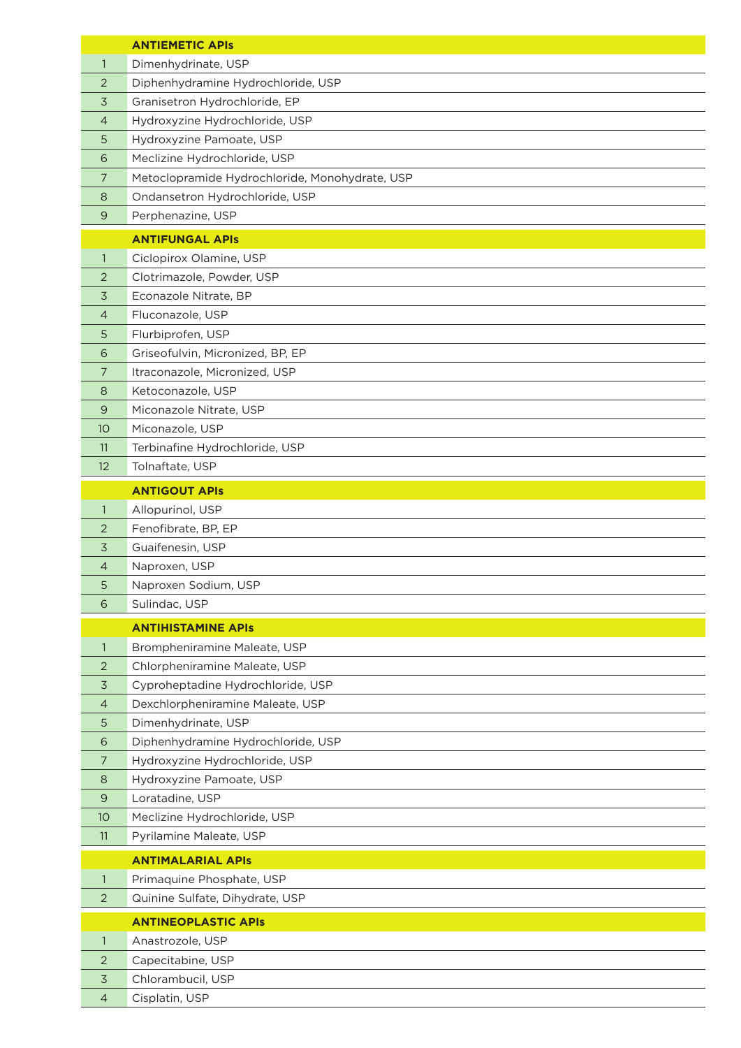|                 | <b>ANTIEMETIC APIS</b>                         |
|-----------------|------------------------------------------------|
| $\mathbf{1}$    | Dimenhydrinate, USP                            |
| 2               | Diphenhydramine Hydrochloride, USP             |
| 3               | Granisetron Hydrochloride, EP                  |
| 4               | Hydroxyzine Hydrochloride, USP                 |
| 5               | Hydroxyzine Pamoate, USP                       |
| 6               | Meclizine Hydrochloride, USP                   |
| 7               | Metoclopramide Hydrochloride, Monohydrate, USP |
| 8               | Ondansetron Hydrochloride, USP                 |
| 9               | Perphenazine, USP                              |
|                 | <b>ANTIFUNGAL APIS</b>                         |
| $\mathbf{1}$    | Ciclopirox Olamine, USP                        |
| $\overline{2}$  | Clotrimazole, Powder, USP                      |
| 3               | Econazole Nitrate, BP                          |
| 4               | Fluconazole, USP                               |
| 5               | Flurbiprofen, USP                              |
| 6               | Griseofulvin, Micronized, BP, EP               |
| 7               | Itraconazole, Micronized, USP                  |
| $\,8\,$         | Ketoconazole, USP                              |
| 9               | Miconazole Nitrate, USP                        |
| 10              | Miconazole, USP                                |
| 11              | Terbinafine Hydrochloride, USP                 |
| 12              | Tolnaftate, USP                                |
|                 | <b>ANTIGOUT APIS</b>                           |
| $\mathbf{1}$    | Allopurinol, USP                               |
| $\overline{2}$  | Fenofibrate, BP, EP                            |
| 3               | Guaifenesin, USP                               |
| 4               | Naproxen, USP                                  |
| 5               | Naproxen Sodium, USP                           |
| 6               | Sulindac, USP                                  |
|                 | <b>ANTIHISTAMINE APIS</b>                      |
| $\mathbf{1}$    | Brompheniramine Maleate, USP                   |
| 2               | Chlorpheniramine Maleate, USP                  |
| 3               | Cyproheptadine Hydrochloride, USP              |
| 4               | Dexchlorpheniramine Maleate, USP               |
| 5               | Dimenhydrinate, USP                            |
| 6               | Diphenhydramine Hydrochloride, USP             |
| 7               | Hydroxyzine Hydrochloride, USP                 |
| 8               | Hydroxyzine Pamoate, USP                       |
| 9               | Loratadine, USP                                |
| 10 <sup>°</sup> | Meclizine Hydrochloride, USP                   |
| 11              | Pyrilamine Maleate, USP                        |
|                 |                                                |
| $\mathbf{1}$    | <b>ANTIMALARIAL APIS</b>                       |
|                 | Primaquine Phosphate, USP                      |
| $\overline{2}$  | Quinine Sulfate, Dihydrate, USP                |
|                 | <b>ANTINEOPLASTIC APIS</b>                     |
| 1               | Anastrozole, USP                               |
| 2               | Capecitabine, USP                              |
| 3               | Chlorambucil, USP                              |
| $\overline{4}$  | Cisplatin, USP                                 |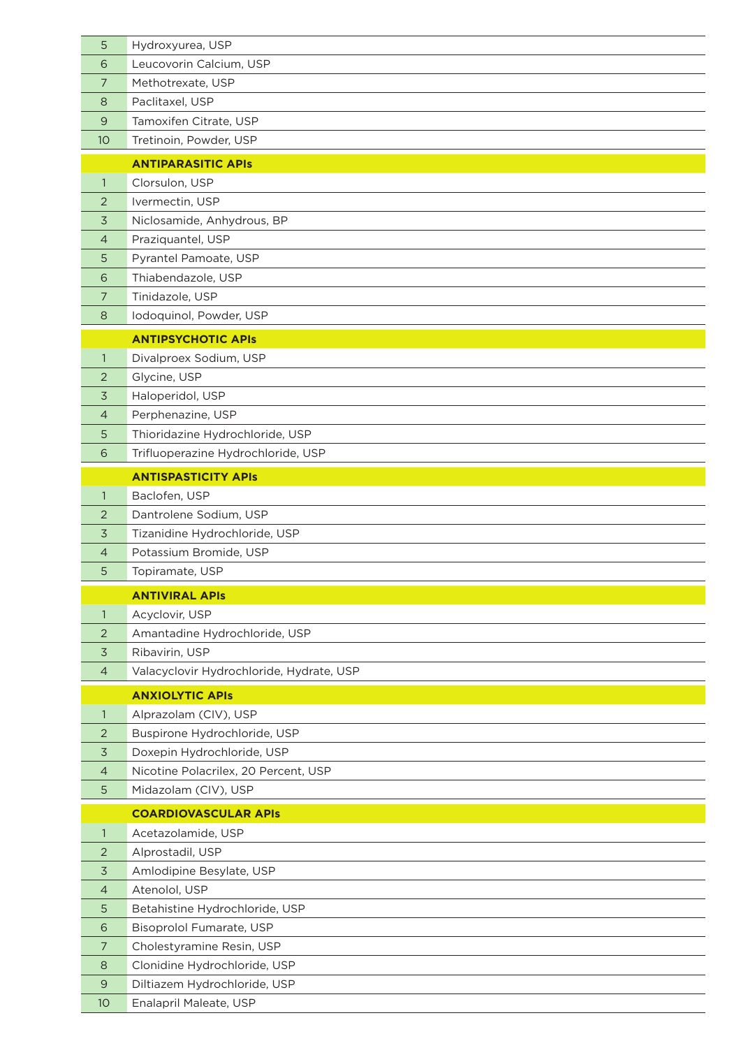| 5               | Hydroxyurea, USP                         |
|-----------------|------------------------------------------|
| 6               | Leucovorin Calcium, USP                  |
| 7               | Methotrexate, USP                        |
| 8               | Paclitaxel, USP                          |
| 9               | Tamoxifen Citrate, USP                   |
| 10              | Tretinoin, Powder, USP                   |
|                 | <b>ANTIPARASITIC APIS</b>                |
| $\mathbf{1}$    | Clorsulon, USP                           |
| $\overline{2}$  | Ivermectin, USP                          |
| 3               | Niclosamide, Anhydrous, BP               |
| 4               | Praziquantel, USP                        |
| 5               | Pyrantel Pamoate, USP                    |
| 6               | Thiabendazole, USP                       |
| 7               | Tinidazole, USP                          |
| 8               | Iodoquinol, Powder, USP                  |
|                 | <b>ANTIPSYCHOTIC APIS</b>                |
| 1               | Divalproex Sodium, USP                   |
| $\overline{2}$  | Glycine, USP                             |
| 3               | Haloperidol, USP                         |
| 4               | Perphenazine, USP                        |
| 5               | Thioridazine Hydrochloride, USP          |
| 6               | Trifluoperazine Hydrochloride, USP       |
|                 | <b>ANTISPASTICITY APIS</b>               |
| $\mathbf{1}$    | Baclofen, USP                            |
| 2               | Dantrolene Sodium, USP                   |
| 3               | Tizanidine Hydrochloride, USP            |
| 4               | Potassium Bromide, USP                   |
| 5               | Topiramate, USP                          |
|                 | <b>ANTIVIRAL APIS</b>                    |
| 1               | Acyclovir, USP                           |
| $\overline{2}$  | Amantadine Hydrochloride, USP            |
| 3               | Ribavirin, USP                           |
| $\overline{4}$  | Valacyclovir Hydrochloride, Hydrate, USP |
|                 | <b>ANXIOLYTIC APIS</b>                   |
| $\mathbf{1}$    | Alprazolam (CIV), USP                    |
| 2               | Buspirone Hydrochloride, USP             |
| 3               | Doxepin Hydrochloride, USP               |
| $\overline{4}$  | Nicotine Polacrilex, 20 Percent, USP     |
| 5               | Midazolam (CIV), USP                     |
|                 | <b>COARDIOVASCULAR APIS</b>              |
| $\mathbf{1}$    | Acetazolamide, USP                       |
| 2               | Alprostadil, USP                         |
| 3               | Amlodipine Besylate, USP                 |
| 4               | Atenolol, USP                            |
| 5               | Betahistine Hydrochloride, USP           |
| 6               | Bisoprolol Fumarate, USP                 |
| 7               | Cholestyramine Resin, USP                |
| 8               | Clonidine Hydrochloride, USP             |
| 9               | Diltiazem Hydrochloride, USP             |
| 10 <sup>°</sup> | Enalapril Maleate, USP                   |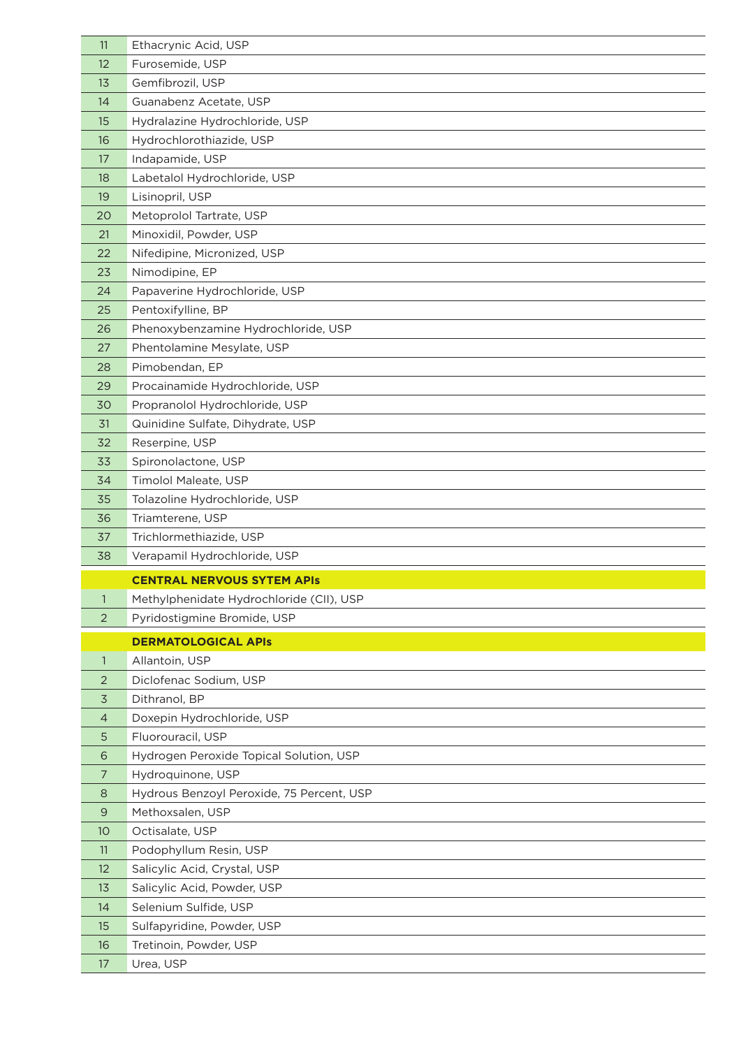| 11             | Ethacrynic Acid, USP                                 |
|----------------|------------------------------------------------------|
| 12             | Furosemide, USP                                      |
| 13             | Gemfibrozil, USP                                     |
| 14             | Guanabenz Acetate, USP                               |
| 15             | Hydralazine Hydrochloride, USP                       |
| 16             | Hydrochlorothiazide, USP                             |
| 17             | Indapamide, USP                                      |
| 18             | Labetalol Hydrochloride, USP                         |
| 19             | Lisinopril, USP                                      |
| 20             | Metoprolol Tartrate, USP                             |
| 21             | Minoxidil, Powder, USP                               |
| 22             | Nifedipine, Micronized, USP                          |
| 23             | Nimodipine, EP                                       |
| 24             | Papaverine Hydrochloride, USP                        |
| 25             | Pentoxifylline, BP                                   |
| 26             | Phenoxybenzamine Hydrochloride, USP                  |
| 27             | Phentolamine Mesylate, USP                           |
| 28             | Pimobendan, EP                                       |
| 29             | Procainamide Hydrochloride, USP                      |
| 30             | Propranolol Hydrochloride, USP                       |
| 31             | Quinidine Sulfate, Dihydrate, USP                    |
| 32             | Reserpine, USP                                       |
| 33             | Spironolactone, USP                                  |
| 34             | Timolol Maleate, USP                                 |
| 35             | Tolazoline Hydrochloride, USP                        |
| 36             | Triamterene, USP                                     |
| 37             | Trichlormethiazide, USP                              |
| 38             | Verapamil Hydrochloride, USP                         |
|                | <b>CENTRAL NERVOUS SYTEM APIS</b>                    |
|                | Methylphenidate Hydrochloride (CII), USP             |
| 2              | Pyridostigmine Bromide, USP                          |
|                | <b>DERMATOLOGICAL APIS</b>                           |
| 1              | Allantoin, USP                                       |
| $\overline{2}$ | Diclofenac Sodium, USP                               |
| $\overline{3}$ | Dithranol, BP                                        |
| $\overline{4}$ | Doxepin Hydrochloride, USP                           |
| 5              | Fluorouracil, USP                                    |
| 6              | Hydrogen Peroxide Topical Solution, USP              |
| $\overline{7}$ | Hydroquinone, USP                                    |
| 8              | Hydrous Benzoyl Peroxide, 75 Percent, USP            |
| 9              | Methoxsalen, USP                                     |
| 10             | Octisalate, USP                                      |
| 11             | Podophyllum Resin, USP                               |
| 12             | Salicylic Acid, Crystal, USP                         |
| 13             | Salicylic Acid, Powder, USP                          |
| 14             | Selenium Sulfide, USP                                |
| 15             | Sulfapyridine, Powder, USP<br>Tretinoin, Powder, USP |
| 16             |                                                      |
| 17             | Urea, USP                                            |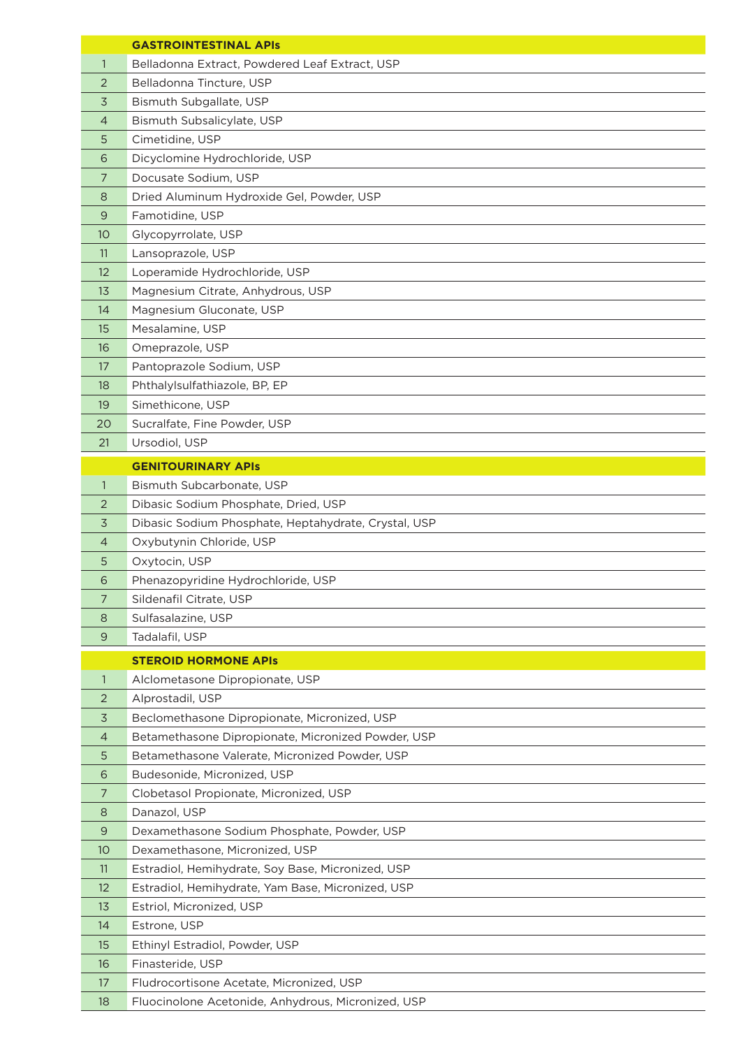|                | <b>GASTROINTESTINAL APIS</b>                         |
|----------------|------------------------------------------------------|
| 1              | Belladonna Extract, Powdered Leaf Extract, USP       |
| 2              | Belladonna Tincture, USP                             |
| 3              | Bismuth Subgallate, USP                              |
| $\overline{4}$ | Bismuth Subsalicylate, USP                           |
| 5              | Cimetidine, USP                                      |
| 6              | Dicyclomine Hydrochloride, USP                       |
| 7              | Docusate Sodium, USP                                 |
| 8              | Dried Aluminum Hydroxide Gel, Powder, USP            |
| 9              | Famotidine, USP                                      |
| 10             | Glycopyrrolate, USP                                  |
| 11             | Lansoprazole, USP                                    |
| 12             | Loperamide Hydrochloride, USP                        |
| 13             | Magnesium Citrate, Anhydrous, USP                    |
| 14             | Magnesium Gluconate, USP                             |
| 15             | Mesalamine, USP                                      |
| 16             | Omeprazole, USP                                      |
| 17             | Pantoprazole Sodium, USP                             |
| 18             | Phthalylsulfathiazole, BP, EP                        |
| 19             | Simethicone, USP                                     |
| 20             | Sucralfate, Fine Powder, USP                         |
| 21             | Ursodiol, USP                                        |
|                | <b>GENITOURINARY APIS</b>                            |
| 1              | Bismuth Subcarbonate, USP                            |
| 2              | Dibasic Sodium Phosphate, Dried, USP                 |
| 3              | Dibasic Sodium Phosphate, Heptahydrate, Crystal, USP |
| 4              | Oxybutynin Chloride, USP                             |
| 5              | Oxytocin, USP                                        |
| 6              | Phenazopyridine Hydrochloride, USP                   |
| 7              | Sildenafil Citrate, USP                              |
| 8              | Sulfasalazine, USP                                   |
| 9              | Tadalafil, USP                                       |
|                | <b>STEROID HORMONE APIS</b>                          |
| 1              | Alclometasone Dipropionate, USP                      |
| 2              | Alprostadil, USP                                     |
| 3              | Beclomethasone Dipropionate, Micronized, USP         |
| 4              | Betamethasone Dipropionate, Micronized Powder, USP   |
| 5              | Betamethasone Valerate, Micronized Powder, USP       |
| 6              | Budesonide, Micronized, USP                          |
| 7              | Clobetasol Propionate, Micronized, USP               |
| 8              | Danazol, USP                                         |
| 9              | Dexamethasone Sodium Phosphate, Powder, USP          |
| 10             | Dexamethasone, Micronized, USP                       |
| 11             | Estradiol, Hemihydrate, Soy Base, Micronized, USP    |
| 12             | Estradiol, Hemihydrate, Yam Base, Micronized, USP    |
| 13             | Estriol, Micronized, USP                             |
| 14             | Estrone, USP                                         |
| 15             | Ethinyl Estradiol, Powder, USP                       |
| 16             | Finasteride, USP                                     |
| 17             | Fludrocortisone Acetate, Micronized, USP             |
| 18             | Fluocinolone Acetonide, Anhydrous, Micronized, USP   |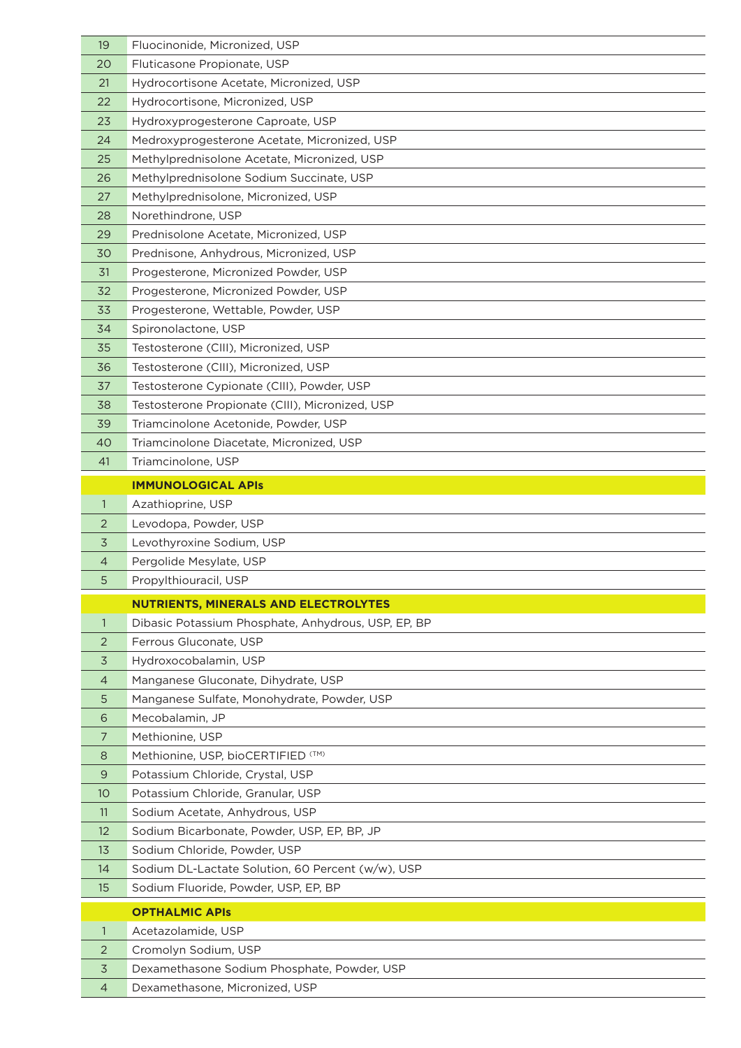| 19             | Fluocinonide, Micronized, USP                       |
|----------------|-----------------------------------------------------|
| 20             | Fluticasone Propionate, USP                         |
| 21             | Hydrocortisone Acetate, Micronized, USP             |
| 22             | Hydrocortisone, Micronized, USP                     |
| 23             | Hydroxyprogesterone Caproate, USP                   |
| 24             | Medroxyprogesterone Acetate, Micronized, USP        |
| 25             | Methylprednisolone Acetate, Micronized, USP         |
| 26             | Methylprednisolone Sodium Succinate, USP            |
| 27             | Methylprednisolone, Micronized, USP                 |
| 28             | Norethindrone, USP                                  |
| 29             | Prednisolone Acetate, Micronized, USP               |
| 30             | Prednisone, Anhydrous, Micronized, USP              |
| 31             | Progesterone, Micronized Powder, USP                |
| 32             | Progesterone, Micronized Powder, USP                |
| 33             | Progesterone, Wettable, Powder, USP                 |
| 34             | Spironolactone, USP                                 |
| 35             | Testosterone (CIII), Micronized, USP                |
| 36             | Testosterone (CIII), Micronized, USP                |
| 37             | Testosterone Cypionate (CIII), Powder, USP          |
| 38             | Testosterone Propionate (CIII), Micronized, USP     |
| 39             | Triamcinolone Acetonide, Powder, USP                |
| 40             | Triamcinolone Diacetate, Micronized, USP            |
| 41             | Triamcinolone, USP                                  |
|                | <b>IMMUNOLOGICAL APIS</b>                           |
| $\mathbf{1}$   | Azathioprine, USP                                   |
|                |                                                     |
| 2              | Levodopa, Powder, USP                               |
| $\overline{3}$ | Levothyroxine Sodium, USP                           |
| $\overline{4}$ | Pergolide Mesylate, USP                             |
| 5              | Propylthiouracil, USP                               |
|                | <b>NUTRIENTS, MINERALS AND ELECTROLYTES</b>         |
| 1              | Dibasic Potassium Phosphate, Anhydrous, USP, EP, BP |
| 2              | Ferrous Gluconate, USP                              |
| 3              | Hydroxocobalamin, USP                               |
| 4              | Manganese Gluconate, Dihydrate, USP                 |
| 5              | Manganese Sulfate, Monohydrate, Powder, USP         |
| 6              | Mecobalamin, JP                                     |
| 7              | Methionine, USP                                     |
| 8              | Methionine, USP, bioCERTIFIED (™)                   |
| 9              | Potassium Chloride, Crystal, USP                    |
| 10             | Potassium Chloride, Granular, USP                   |
| 11             | Sodium Acetate, Anhydrous, USP                      |
| 12             | Sodium Bicarbonate, Powder, USP, EP, BP, JP         |
| 13             | Sodium Chloride, Powder, USP                        |
| 14             | Sodium DL-Lactate Solution, 60 Percent (w/w), USP   |
| 15             | Sodium Fluoride, Powder, USP, EP, BP                |
|                | <b>OPTHALMIC APIS</b>                               |
| $\mathbf{1}$   | Acetazolamide, USP                                  |
| 2              | Cromolyn Sodium, USP                                |
| $\overline{3}$ | Dexamethasone Sodium Phosphate, Powder, USP         |